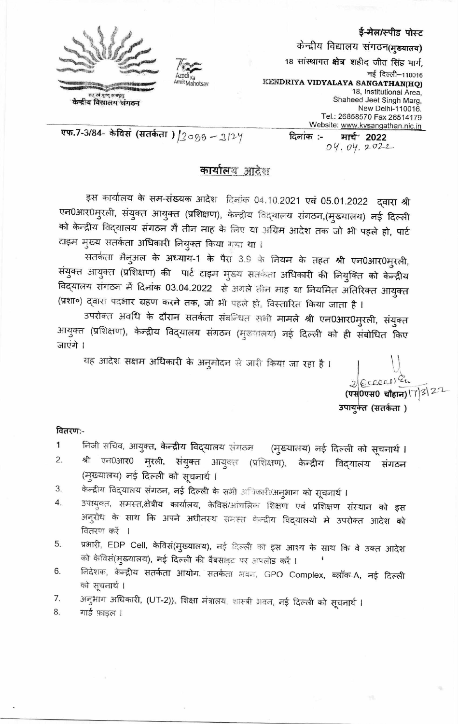



केन्द्रीय विद्यालय संगठन

ई-मेल/स्पीड पोस्ट

केन्द्रीय विद्यालय संगठन(मुख्यालय)

मार्च<sup>,</sup> 2022

18 सांस्थागत क्षेत्र शहीद जीत सिंह मार्ग, नई दिल्ली-110016 KENDRIYA VIDYALAYA SANGATHAN(HQ) 18, Institutional Area. Shaheed Jeet Singh Marg, New Delhi-110016. Tel.: 26858570 Fax 26514179 Website: www.kvsangathan.nic.in

एफ.7-3/84- केविसं (सतर्कता) |2088 - 3124

# 04.04.2022

दिनांक :-

## <u>कार्यालय आदेश</u>

इस कार्यालय के सम-संख्यक आदेश दिलांक 04.10.2021 एवं 05.01.2022 दवारा श्री एन0आर0मुरली, संयुक्त आयुक्त (प्रशिक्षण), केन्द्रीय विद्यालय संगठन,(मुख्यालय) नई दिल्ली को केन्द्रीय विद्यालय संगठन में तीन माह के लिए या अग्रिम आदेश तक जो भी पहले हो, पार्ट टाइम मुख्य सतर्कता अधिकारी नियुक्त किया गया था।

सतर्कता मैनुअल के अध्याय-1 के पैरा 3.9 के नियम के तहत श्री एन0आर0मुरली, संयुक्त आयुक्त (प्रशिक्षण) की पार्ट टाइम मुख्य सतर्कता अधिकारी की नियुक्ति को केन्द्रीय विद्यालय संगठन में दिनांक 03.04.2022 से अगले तीन माह या नियमित अतिरिक्त आयुक्त (प्रशा०) द्वारा पदभार ग्रहण करने तक, जो भी पहले हो, विस्तारित किया जाता है ।

उपरोक्त अवधि के दौरान सतर्कता संबन्धित सभी मामले श्री एन0आर0मुरली, संयुक्त आयुक्त (प्रशिक्षण), केन्द्रीय विद्यालय संगठन (मुख्यालय) नई दिल्ली को ही संबोधित किए जाएंगे ।

यह आदेश सक्षम अधिकारी के अनुमोदन से जारी किया जा रहा है ।

 $2|E$ cccci) En (एस्<sup>0एस0</sup> चौहान)\7|3\2<sup>1</sup> उपायुक्त (सतर्कता )

### वितरण:-

- निजी सचिव, आयुक्त**, केन्द्रीय विद्**यालय संगठन 1 (मुख्यालय) नई दिल्ली को सूचनार्थ।
- 2. श्री एन0आर0 मुरली, संयुक्त आयुक्त (प्रशिक्षण), केन्द्रीय विदयालय संगठन (मुख्यालय) नई दिल्ली को सूचनार्थ ।
- केन्द्रीय विद्यालय संगठन, नई दिल्ली के सभी अधिकारी/अनुभाग को सूचनार्थ । 3.
- उपायुक्त, समस्त,क्षेत्रीय कार्यालय, केविस/ओचलिक शिक्षण एवं प्रशिक्षण संस्थान को इस 4. अनुरोध के साथ कि अपने अधीनस्थ समस्त केन्द्रीय विद्यालयो मे उपरोक्त आदेश <mark>को</mark> वितरण करें ।
- प्रभारी, EDP Cell, केविसं(मुख्यालय), नई दिल्ली को इस आश्य के साथ कि वे उक्त आदेश 5. को केविसं(मुख्यालय), नई दिल्ली की वैबसाइट पर अपलोड करें ।
- निदेशक, केन्द्रीय सतर्कता आयोग, सतर्कता अवन, GPO Complex, ब्लॉक-A, नई दिल्ली 6. को सूचनार्थ ।
- अनुभाग अधिकारी, (UT-2)), शिक्षा मंत्रालय, शास्त्री भवन, नई दिल्ली को सूचनार्थ । 7.

8. गार्ड फ़ाइल ।